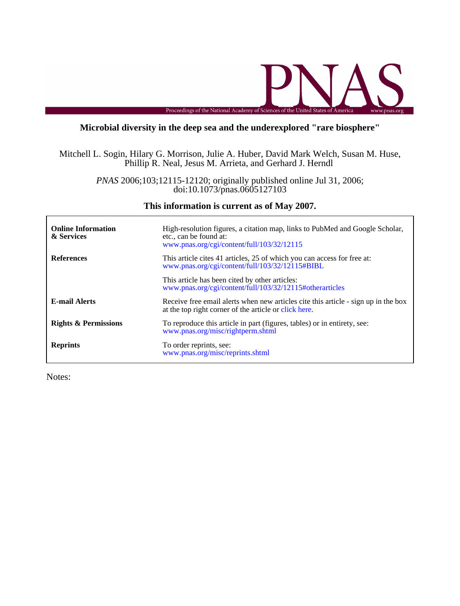

## **Microbial diversity in the deep sea and the underexplored "rare biosphere"**

Phillip R. Neal, Jesus M. Arrieta, and Gerhard J. Herndl Mitchell L. Sogin, Hilary G. Morrison, Julie A. Huber, David Mark Welch, Susan M. Huse,

> doi:10.1073/pnas.0605127103 *PNAS* 2006;103;12115-12120; originally published online Jul 31, 2006;

> > **This information is current as of May 2007.**

| <b>Online Information</b><br>& Services | High-resolution figures, a citation map, links to PubMed and Google Scholar,<br>etc., can be found at:<br>www.pnas.org/cgi/content/full/103/32/12115 |  |  |  |
|-----------------------------------------|------------------------------------------------------------------------------------------------------------------------------------------------------|--|--|--|
| <b>References</b>                       | This article cites 41 articles, 25 of which you can access for free at:<br>www.pnas.org/cgi/content/full/103/32/12115#BIBL                           |  |  |  |
|                                         | This article has been cited by other articles:<br>www.pnas.org/cgi/content/full/103/32/12115#otherarticles                                           |  |  |  |
| <b>E-mail Alerts</b>                    | Receive free email alerts when new articles cite this article - sign up in the box<br>at the top right corner of the article or click here.          |  |  |  |
| <b>Rights &amp; Permissions</b>         | To reproduce this article in part (figures, tables) or in entirety, see:<br>www.pnas.org/misc/rightperm.shtml                                        |  |  |  |
| <b>Reprints</b>                         | To order reprints, see:<br>www.pnas.org/misc/reprints.shtml                                                                                          |  |  |  |

Notes: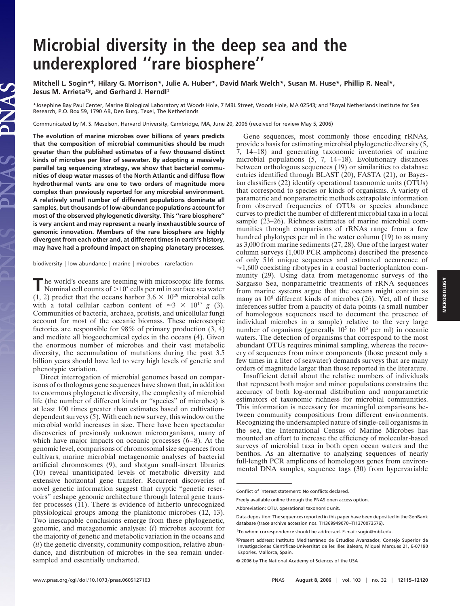# **Microbial diversity in the deep sea and the underexplored ''rare biosphere''**

**Mitchell L. Sogin\*†, Hilary G. Morrison\*, Julie A. Huber\*, David Mark Welch\*, Susan M. Huse\*, Phillip R. Neal\*, Jesus M. Arrieta‡§, and Gerhard J. Herndl‡**

\*Josephine Bay Paul Center, Marine Biological Laboratory at Woods Hole, 7 MBL Street, Woods Hole, MA 02543; and ‡Royal Netherlands Institute for Sea Research, P.O. Box 59, 1790 AB, Den Burg, Texel, The Netherlands

Communicated by M. S. Meselson, Harvard University, Cambridge, MA, June 20, 2006 (received for review May 5, 2006)

**The evolution of marine microbes over billions of years predicts that the composition of microbial communities should be much greater than the published estimates of a few thousand distinct kinds of microbes per liter of seawater. By adopting a massively parallel tag sequencing strategy, we show that bacterial communities of deep water masses of the North Atlantic and diffuse flow hydrothermal vents are one to two orders of magnitude more complex than previously reported for any microbial environment. A relatively small number of different populations dominate all samples, but thousands of low-abundance populations account for most of the observed phylogenetic diversity. This ''rare biosphere'' is very ancient and may represent a nearly inexhaustible source of genomic innovation. Members of the rare biosphere are highly divergent from each other and, at different times in earth's history, may have had a profound impact on shaping planetary processes.**

biodiversity  $|$  low abundance  $|$  marine  $|$  microbes  $|$  rarefaction

The world's oceans are teeming with microscopic life forms.<br>Nominal cell counts of  $>10^5$  cells per ml in surface sea water  $(1, 2)$  predict that the oceans harbor  $3.6 \times 10^{29}$  microbial cells with a total cellular carbon content of  $\approx 3 \times 10^{17}$  g (3). Communities of bacteria, archaea, protists, and unicellular fungi account for most of the oceanic biomass. These microscopic factories are responsible for 98% of primary production (3, 4) and mediate all biogeochemical cycles in the oceans (4). Given the enormous number of microbes and their vast metabolic diversity, the accumulation of mutations during the past 3.5 billion years should have led to very high levels of genetic and phenotypic variation.

Direct interrogation of microbial genomes based on comparisons of orthologous gene sequences have shown that, in addition to enormous phylogenetic diversity, the complexity of microbial life (the number of different kinds or ''species'' of microbes) is at least 100 times greater than estimates based on cultivationdependent surveys (5). With each new survey, this window on the microbial world increases in size. There have been spectacular discoveries of previously unknown microorganisms, many of which have major impacts on oceanic processes  $(6-8)$ . At the genomic level, comparisons of chromosomal size sequences from cultivars, marine microbial metagenomic analyses of bacterial artificial chromosomes (9), and shotgun small-insert libraries (10) reveal unanticipated levels of metabolic diversity and extensive horizontal gene transfer. Recurrent discoveries of novel genetic information suggest that cryptic ''genetic reservoirs'' reshape genomic architecture through lateral gene transfer processes (11). There is evidence of hitherto unrecognized physiological groups among the planktonic microbes (12, 13). Two inescapable conclusions emerge from these phylogenetic, genomic, and metagenomic analyses: (*i*) microbes account for the majority of genetic and metabolic variation in the oceans and (*ii*) the genetic diversity, community composition, relative abundance, and distribution of microbes in the sea remain undersampled and essentially uncharted.

Gene sequences, most commonly those encoding rRNAs, provide a basis for estimating microbial phylogenetic diversity (5, 7, 14–18) and generating taxonomic inventories of marine microbial populations (5, 7, 14–18). Evolutionary distances between orthologous sequences (19) or similarities to database entries identified through BLAST (20), FASTA (21), or Bayesian classifiers (22) identify operational taxonomic units (OTUs) that correspond to species or kinds of organisms. A variety of parametric and nonparametric methods extrapolate information from observed frequencies of OTUs or species abundance curves to predict the number of different microbial taxa in a local sample (23–26). Richness estimates of marine microbial communities through comparisons of rRNAs range from a few hundred phylotypes per ml in the water column  $(19)$  to as many as 3,000 from marine sediments (27, 28). One of the largest water column surveys (1,000 PCR amplicons) described the presence of only 516 unique sequences and estimated occurrence of  $\approx$ 1,600 coexisting ribotypes in a coastal bacterioplankton community (29). Using data from metagenomic surveys of the Sargasso Sea, nonparametric treatments of rRNA sequences from marine systems argue that the oceans might contain as many as  $10^6$  different kinds of microbes (26). Yet, all of these inferences suffer from a paucity of data points (a small number of homologous sequences used to document the presence of individual microbes in a sample) relative to the very large number of organisms (generally 10<sup>5</sup> to 10<sup>6</sup> per ml) in oceanic waters. The detection of organisms that correspond to the most abundant OTUs requires minimal sampling, whereas the recovery of sequences from minor components (those present only a few times in a liter of seawater) demands surveys that are many orders of magnitude larger than those reported in the literature.

Insufficient detail about the relative numbers of individuals that represent both major and minor populations constrains the accuracy of both log-normal distribution and nonparametric estimators of taxonomic richness for microbial communities. This information is necessary for meaningful comparisons between community compositions from different environments. Recognizing the undersampled nature of single-cell organisms in the sea, the International Census of Marine Microbes has mounted an effort to increase the efficiency of molecular-based surveys of microbial taxa in both open ocean waters and the benthos. As an alternative to analyzing sequences of nearly full-length PCR amplicons of homologous genes from environmental DNA samples, sequence tags (30) from hypervariable

Conflict of interest statement: No conflicts declared.

Freely available online through the PNAS open access option.

Abbreviation: OTU, operational taxonomic unit.

Data deposition: The sequences reported in this paper have been deposited in the GenBank database (trace archive accession nos. TI1369949070–TI1370073576).

<sup>†</sup>To whom correspondence should be addressed. E-mail: sogin@mbl.edu.

<sup>§</sup>Present address: Instituto Mediterráneo de Estudios Avanzados, Consejo Superior de Investigaciones Cientificas-Universitat de les Illes Balears, Miquel Marques 21, E-07190 Esporles, Mallorca, Spain.

<sup>© 2006</sup> by The National Academy of Sciences of the USA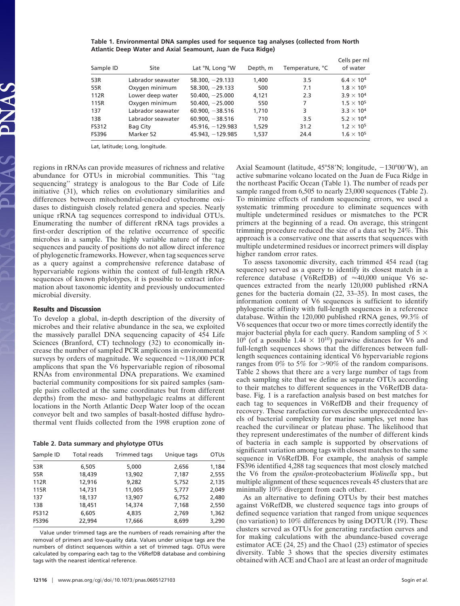| Sample ID | Site              | Lat °N, Long °W    | Depth, m | Temperature, °C | Cells per ml<br>of water |
|-----------|-------------------|--------------------|----------|-----------------|--------------------------|
| 53R       | Labrador seawater | $58.300, -29.133$  | 1,400    | 3.5             | $6.4 \times 10^{4}$      |
| 55R       | Oxygen minimum    | $58.300, -29.133$  | 500      | 7.1             | $1.8 \times 10^{5}$      |
| 112R      | Lower deep water  | $50.400, -25.000$  | 4,121    | 2.3             | $3.9 \times 10^{4}$      |
| 115R      | Oxygen minimum    | $50.400, -25.000$  | 550      | 7               | $1.5 \times 10^{5}$      |
| 137       | Labrador seawater | $60.900, -38.516$  | 1,710    | 3               | $3.3 \times 10^{4}$      |
| 138       | Labrador seawater | $60.900, -38.516$  | 710      | 3.5             | $5.2 \times 10^{4}$      |
| FS312     | Bag City          | $45.916, -129.983$ | 1,529    | 31.2            | $1.2 \times 10^{5}$      |
| FS396     | Marker 52         | 45.943, -129.985   | 1,537    | 24.4            | $1.6 \times 10^{5}$      |

**Table 1. Environmental DNA samples used for sequence tag analyses (collected from North Atlantic Deep Water and Axial Seamount, Juan de Fuca Ridge)**

Lat, latitude; Long, longitude.

regions in rRNAs can provide measures of richness and relative abundance for OTUs in microbial communities. This ''tag sequencing'' strategy is analogous to the Bar Code of Life initiative (31), which relies on evolutionary similarities and differences between mitochondrial-encoded cytochrome oxidases to distinguish closely related genera and species. Nearly unique rRNA tag sequences correspond to individual OTUs. Enumerating the number of different rRNA tags provides a first-order description of the relative occurrence of specific microbes in a sample. The highly variable nature of the tag sequences and paucity of positions do not allow direct inference of phylogenetic frameworks. However, when tag sequences serve as a query against a comprehensive reference database of hypervariable regions within the context of full-length rRNA sequences of known phylotypes, it is possible to extract information about taxonomic identity and previously undocumented microbial diversity.

#### **Results and Discussion**

To develop a global, in-depth description of the diversity of microbes and their relative abundance in the sea, we exploited the massively parallel DNA sequencing capacity of 454 Life Sciences (Branford, CT) technology (32) to economically increase the number of sampled PCR amplicons in environmental surveys by orders of magnitude. We sequenced  $\approx$ 118,000 PCR amplicons that span the V6 hypervariable region of ribosomal RNAs from environmental DNA preparations. We examined bacterial community compositions for six paired samples (sample pairs collected at the same coordinates but from different depths) from the meso- and bathypelagic realms at different locations in the North Atlantic Deep Water loop of the ocean conveyor belt and two samples of basalt-hosted diffuse hydrothermal vent fluids collected from the 1998 eruption zone of

#### **Table 2. Data summary and phylotype OTUs**

| Sample ID | <b>Total reads</b> | Trimmed tags | Unique tags | <b>OTUs</b> |
|-----------|--------------------|--------------|-------------|-------------|
| 53R       | 6,505              | 5,000        | 2,656       | 1,184       |
| 55R       | 18,439             | 13,902       | 7,187       | 2,555       |
| 112R      | 12,916             | 9.282        | 5,752       | 2,135       |
| 115R      | 14,731             | 11,005       | 5,777       | 2,049       |
| 137       | 18,137             | 13,907       | 6,752       | 2,480       |
| 138       | 18,451             | 14,374       | 7,168       | 2,550       |
| FS312     | 6,605              | 4,835        | 2,769       | 1,362       |
| FS396     | 22,994             | 17,666       | 8,699       | 3,290       |

Value under trimmed tags are the numbers of reads remaining after the removal of primers and low-quality data. Values under unique tags are the numbers of distinct sequences within a set of trimmed tags. OTUs were calculated by comparing each tag to the V6RefDB database and combining tags with the nearest identical reference.

**12116** | www.pnas.org/cgi/doi/10.1073/pnas.0605127103 Sogin *et al.* 

Axial Seamount (latitude,  $45^{\circ}58'$ N; longitude,  $-130^{\circ}00'$ W), an active submarine volcano located on the Juan de Fuca Ridge in the northeast Pacific Ocean (Table 1). The number of reads per sample ranged from 6,505 to nearly 23,000 sequences (Table 2). To minimize effects of random sequencing errors, we used a systematic trimming procedure to eliminate sequences with multiple undetermined residues or mismatches to the PCR primers at the beginning of a read. On average, this stringent trimming procedure reduced the size of a data set by 24%. This approach is a conservative one that asserts that sequences with multiple undetermined residues or incorrect primers will display higher random error rates.

To assess taxonomic diversity, each trimmed 454 read (tag sequence) served as a query to identify its closest match in a reference database (V6RefDB) of  $\approx 40,000$  unique V6 sequences extracted from the nearly 120,000 published rRNA genes for the bacteria domain (22, 33–35). In most cases, the information content of V6 sequences is sufficient to identify phylogenetic affinity with full-length sequences in a reference database. Within the 120,000 published rRNA genes, 99.3% of V6 sequences that occur two or more times correctly identify the major bacterial phyla for each query. Random sampling of 5  $\times$  $10^6$  (of a possible 1.44  $\times$  10<sup>10</sup>) pairwise distances for V6 and full-length sequences shows that the differences between fulllength sequences containing identical V6 hypervariable regions ranges from  $0\%$  to 5% for >90% of the random comparisons. Table 2 shows that there are a very large number of tags from each sampling site that we define as separate OTUs according to their matches to different sequences in the V6RefDB database. Fig. 1 is a rarefaction analysis based on best matches for each tag to sequences in V6RefDB and their frequency of recovery. These rarefaction curves describe unprecedented levels of bacterial complexity for marine samples, yet none has reached the curvilinear or plateau phase. The likelihood that they represent underestimates of the number of different kinds of bacteria in each sample is supported by observations of significant variation among tags with closest matches to the same sequence in V6RefDB. For example, the analysis of sample FS396 identified 4,288 tag sequences that most closely matched the V6 from the *epsilon*-proteobacterium *Wolinella* spp., but multiple alignment of these sequences reveals 45 clusters that are minimally 10% divergent from each other.

As an alternative to defining OTUs by their best matches against V6RefDB, we clustered sequence tags into groups of defined sequence variation that ranged from unique sequences (no variation) to 10% differences by using DOTUR (19). These clusters served as OTUs for generating rarefaction curves and for making calculations with the abundance-based coverage estimator ACE (24, 25) and the Chao1 (23) estimator of species diversity. Table 3 shows that the species diversity estimates obtained with ACE and Chao1 are at least an order of magnitude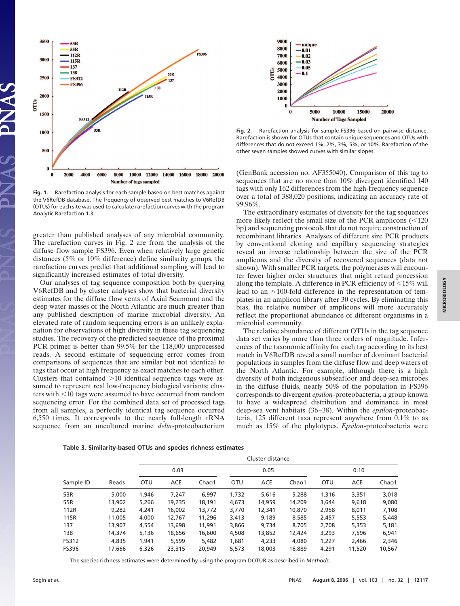

**Fig. 1.** Rarefaction analysis for each sample based on best matches against the V6RefDB database. The frequency of observed best matches to V6RefDB (OTUs) for each site was used to calculate rarefaction curves with the program Analytic Rarefaction 1.3.

greater than published analyses of any microbial community. The rarefaction curves in Fig. 2 are from the analysis of the diffuse flow sample FS396. Even when relatively large genetic distances (5% or 10% difference) define similarity groups, the rarefaction curves predict that additional sampling will lead to significantly increased estimates of total diversity.

Our analyses of tag sequence composition both by querying V6RefDB and by cluster analyses show that bacterial diversity estimates for the diffuse flow vents of Axial Seamount and the deep water masses of the North Atlantic are much greater than any published description of marine microbial diversity. An elevated rate of random sequencing errors is an unlikely explanation for observations of high diversity in these tag sequencing studies. The recovery of the predicted sequence of the proximal PCR primer is better than 99.5% for the 118,000 unprocessed reads. A second estimate of sequencing error comes from comparisons of sequences that are similar but not identical to tags that occur at high frequency as exact matches to each other. Clusters that contained  $>10$  identical sequence tags were assumed to represent real low-frequency biological variants; clusters with  $10$  tags were assumed to have occurred from random sequencing error. For the combined data set of processed tags from all samples, a perfectly identical tag sequence occurred 6,550 times. It corresponds to the nearly full-length rRNA sequence from an uncultured marine *delta*-proteobacterium



**Fig. 2.** Rarefaction analysis for sample FS396 based on pairwise distance. Rarefaction is shown for OTUs that contain unique sequences and OTUs with differences that do not exceed 1%, 2%, 3%, 5%, or 10%. Rarefaction of the other seven samples showed curves with similar slopes.

(GenBank accession no. AF355040). Comparison of this tag to sequences that are no more than 10% divergent identified 140 tags with only 162 differences from the high-frequency sequence over a total of 388,020 positions, indicating an accuracy rate of 99.96%.

The extraordinary estimates of diversity for the tag sequences more likely reflect the small size of the PCR amplicons  $\approx 120$ bp) and sequencing protocols that do not require construction of recombinant libraries. Analyses of different size PCR products by conventional cloning and capillary sequencing strategies reveal an inverse relationship between the size of the PCR amplicons and the diversity of recovered sequences (data not shown). With smaller PCR targets, the polymerases will encounter fewer higher order structures that might retard procession along the template. A difference in PCR efficiency of  $\leq 15\%$  will lead to an  $\approx$ 100-fold difference in the representation of templates in an amplicon library after 30 cycles. By eliminating this bias, the relative number of amplicons will more accurately reflect the proportional abundance of different organisms in a microbial community.

The relative abundance of different OTUs in the tag sequence data set varies by more than three orders of magnitude. Inferences of the taxonomic affinity for each tag according to its best match in V6RefDB reveal a small number of dominant bacterial populations in samples from the diffuse flow and deep waters of the North Atlantic. For example, although there is a high diversity of both indigenous subseafloor and deep-sea microbes in the diffuse fluids, nearly 50% of the population in FS396 corresponds to divergent *epsilon*-proteobacteria, a group known to have a widespread distribution and dominance in most deep-sea vent habitats (36–38). Within the *epsilon*-proteobacteria, 125 different taxa represent anywhere from 0.1% to as much as 15% of the phylotypes. *Epsilon*-proteobacteria were

| Sample ID    |        |            | Cluster distance |        |            |            |        |            |            |        |
|--------------|--------|------------|------------------|--------|------------|------------|--------|------------|------------|--------|
|              |        |            | 0.03             |        | 0.05       |            |        | 0.10       |            |        |
|              | Reads  | <b>OTU</b> | <b>ACE</b>       | Chao1  | <b>OTU</b> | <b>ACE</b> | Chao1  | <b>OTU</b> | <b>ACE</b> | Chao1  |
| 53R          | 5,000  | 1.946      | 7.247            | 6.997  | 1,732      | 5,616      | 5,288  | 1,316      | 3,351      | 3,018  |
| 55R          | 13,902 | 5,266      | 19,235           | 18.191 | 4.673      | 14.959     | 14,209 | 3,644      | 9,618      | 9,080  |
| 112R         | 9.282  | 4.241      | 16,002           | 13,772 | 3,770      | 12,341     | 10,870 | 2,958      | 8,011      | 7,108  |
| 115R         | 11,005 | 4,000      | 12,767           | 11,296 | 3,413      | 9,189      | 8,585  | 2,457      | 5,553      | 5,448  |
| 137          | 13,907 | 4,554      | 13,698           | 11,991 | 3,866      | 9.734      | 8,705  | 2,708      | 5,353      | 5,181  |
| 138          | 14,374 | 5.136      | 18,656           | 16,600 | 4,508      | 13,852     | 12,424 | 3,293      | 7,596      | 6,941  |
| FS312        | 4.835  | 1,941      | 5,599            | 5,482  | 1,681      | 4,233      | 4,080  | 1,227      | 2,466      | 2,346  |
| <b>FS396</b> | 17,666 | 6,326      | 23,315           | 20,949 | 5,573      | 18,003     | 16,889 | 4,291      | 11,520     | 10,567 |

**Table 3. Similarity-based OTUs and species richness estimates**

The species richness estimates were determined by using the program DOTUR as described in *Methods*.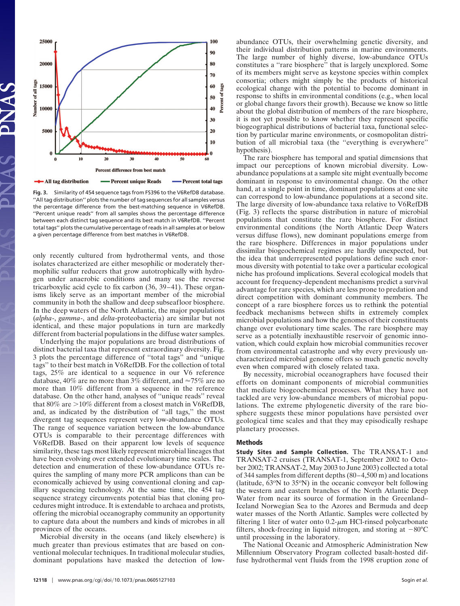

**Fig. 3.** Similarity of 454 sequence tags from FS396 to the V6RefDB database. ''All tag distribution'' plots the number of tag sequences for all samples versus the percentage difference from the best-matching sequence in V6RefDB. ''Percent unique reads'' from all samples shows the percentage difference between each distinct tag sequence and its best match in V6RefDB. ''Percent total tags'' plots the cumulative percentage of reads in all samples at or below a given percentage difference from best matches in V6RefDB.

only recently cultured from hydrothermal vents, and those isolates characterized are either mesophilic or moderately thermophilic sulfur reducers that grow autotrophically with hydrogen under anaerobic conditions and many use the reverse tricarboxylic acid cycle to fix carbon (36, 39–41). These organisms likely serve as an important member of the microbial community in both the shallow and deep subseafloor biosphere. In the deep waters of the North Atlantic, the major populations (*alpha*-, *gamma*-, and *delta*-proteobacteria) are similar but not identical, and these major populations in turn are markedly different from bacterial populations in the diffuse water samples.

Underlying the major populations are broad distributions of distinct bacterial taxa that represent extraordinary diversity. Fig. 3 plots the percentage difference of ''total tags'' and ''unique tags'' to their best match in V6RefDB. For the collection of total tags, 25% are identical to a sequence in our V6 reference database, 40% are no more than 3% different, and  $\approx 75\%$  are no more than 10% different from a sequence in the reference database. On the other hand, analyses of ''unique reads'' reveal that  $80\%$  are  $>10\%$  different from a closest match in V6RefDB, and, as indicated by the distribution of ''all tags,'' the most divergent tag sequences represent very low-abundance OTUs. The range of sequence variation between the low-abundance OTUs is comparable to their percentage differences with V6RefDB. Based on their apparent low levels of sequence similarity, these tags most likely represent microbial lineages that have been evolving over extended evolutionary time scales. The detection and enumeration of these low-abundance OTUs requires the sampling of many more PCR amplicons than can be economically achieved by using conventional cloning and capillary sequencing technology. At the same time, the 454 tag sequence strategy circumvents potential bias that cloning procedures might introduce. It is extendable to archaea and protists, offering the microbial oceanography community an opportunity to capture data about the numbers and kinds of microbes in all provinces of the oceans.

Microbial diversity in the oceans (and likely elsewhere) is much greater than previous estimates that are based on conventional molecular techniques. In traditional molecular studies, dominant populations have masked the detection of lowabundance OTUs, their overwhelming genetic diversity, and their individual distribution patterns in marine environments. The large number of highly diverse, low-abundance OTUs constitutes a ''rare biosphere'' that is largely unexplored. Some of its members might serve as keystone species within complex consortia; others might simply be the products of historical ecological change with the potential to become dominant in response to shifts in environmental conditions (e.g., when local or global change favors their growth). Because we know so little about the global distribution of members of the rare biosphere, it is not yet possible to know whether they represent specific biogeographical distributions of bacterial taxa, functional selection by particular marine environments, or cosmopolitan distribution of all microbial taxa (the ''everything is everywhere'' hypothesis).

The rare biosphere has temporal and spatial dimensions that impact our perceptions of known microbial diversity. Lowabundance populations at a sample site might eventually become dominant in response to environmental change. On the other hand, at a single point in time, dominant populations at one site can correspond to low-abundance populations at a second site. The large diversity of low-abundance taxa relative to V6RefDB (Fig. 3) reflects the sparse distribution in nature of microbial populations that constitute the rare biosphere. For distinct environmental conditions (the North Atlantic Deep Waters versus diffuse flows), new dominant populations emerge from the rare biosphere. Differences in major populations under dissimilar biogeochemical regimes are hardly unexpected, but the idea that underrepresented populations define such enormous diversity with potential to take over a particular ecological niche has profound implications. Several ecological models that account for frequency-dependent mechanisms predict a survival advantage for rare species, which are less prone to predation and direct competition with dominant community members. The concept of a rare biosphere forces us to rethink the potential feedback mechanisms between shifts in extremely complex microbial populations and how the genomes of their constituents change over evolutionary time scales. The rare biosphere may serve as a potentially inexhaustible reservoir of genomic innovation, which could explain how microbial communities recover from environmental catastrophe and why every previously uncharacterized microbial genome offers so much genetic novelty even when compared with closely related taxa.

By necessity, microbial oceanographers have focused their efforts on dominant components of microbial communities that mediate biogeochemical processes. What they have not tackled are very low-abundance members of microbial populations. The extreme phylogenetic diversity of the rare biosphere suggests these minor populations have persisted over geological time scales and that they may episodically reshape planetary processes.

### **Methods**

**Study Sites and Sample Collection.** The TRANSAT-1 and TRANSAT-2 cruises (TRANSAT-1, September 2002 to October 2002; TRANSAT-2, May 2003 to June 2003) collected a total of 344 samples from different depths (80–4,500 m) and locations (latitude,  $63^{\circ}$ N to  $35^{\circ}$ N) in the oceanic conveyor belt following the western and eastern branches of the North Atlantic Deep Water from near its source of formation in the Greenland– Iceland Norwegian Sea to the Azores and Bermuda and deep water masses of the North Atlantic. Samples were collected by filtering 1 liter of water onto  $0.2$ - $\mu$ m HCl-rinsed polycarbonate filters, shock-freezing in liquid nitrogen, and storing at  $-80^{\circ}$ C until processing in the laboratory.

The National Oceanic and Atmospheric Administration New Millennium Observatory Program collected basalt-hosted diffuse hydrothermal vent fluids from the 1998 eruption zone of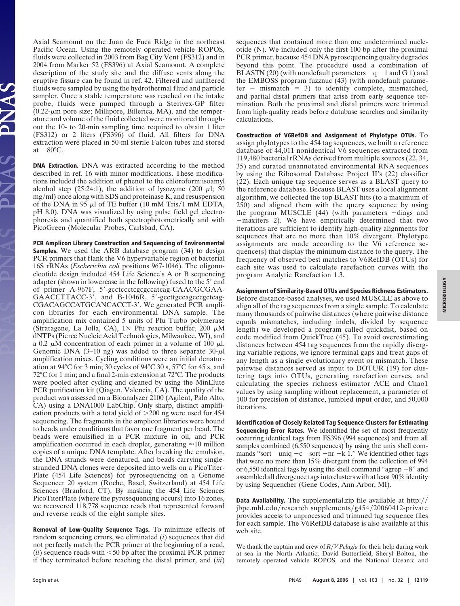Axial Seamount on the Juan de Fuca Ridge in the northeast Pacific Ocean. Using the remotely operated vehicle ROPOS, fluids were collected in 2003 from Bag City Vent (FS312) and in 2004 from Marker 52 (FS396) at Axial Seamount. A complete description of the study site and the diffuse vents along the eruptive fissure can be found in ref. 42. Filtered and unfiltered fluids were sampled by using the hydrothermal fluid and particle sampler. Once a stable temperature was reached on the intake probe, fluids were pumped through a Sterivex-GP filter  $(0.22 \text{-} \mu \text{m}$  pore size; Millipore, Billerica, MA), and the temperature and volume of the fluid collected were monitored throughout the 10- to 20-min sampling time required to obtain 1 liter (FS312) or 2 liters (FS396) of fluid. All filters for DNA extraction were placed in 50-ml sterile Falcon tubes and stored at  $-80^{\circ}$ C.

**DNA Extraction.** DNA was extracted according to the method described in ref. 16 with minor modifications. These modifications included the addition of phenol to the chloroform:isoamyl alcohol step (25:24:1), the addition of lysozyme (200  $\mu$ l; 50 mg/ml) once along with SDS and proteinase K, and resuspension of the DNA in 95  $\mu$ l of TE buffer (10 mM Tris/1 mM EDTA, pH 8.0). DNA was visualized by using pulse field gel electrophoresis and quantified both spectrophotometrically and with PicoGreen (Molecular Probes, Carlsbad, CA).

**PCR Amplicon Library Construction and Sequencing of Environmental Samples.** We used the ARB database program (34) to design PCR primers that flank the V6 hypervariable region of bacterial 16S rRNAs (*Escherichia coli* positions 967-1046). The oligonucleotide design included 454 Life Science's A or B sequencing adapter (shown in lowercase in the following) fused to the 5' end of primer A-967F, 5'-gcctccctcgcgccatcag-CAACGCGAA-GAACCTTACC-3', and B-1046R, 5'-gccttgccagcccgctcag-CGACAGCCATGCANCACCT-3'. We generated PCR amplicon libraries for each environmental DNA sample. The amplification mix contained 5 units of Pfu Turbo polymerase (Stratagene, La Jolla, CA),  $1 \times$  Pfu reaction buffer, 200  $\mu$ M dNTPs (Pierce Nucleic Acid Technologies, Milwaukee, WI), and a 0.2  $\mu$ M concentration of each primer in a volume of 100  $\mu$ l. Genomic DNA  $(3-10 \text{ ng})$  was added to three separate  $30-\mu l$ amplification mixes. Cycling conditions were an initial denaturation at 94°C for 3 min; 30 cycles of 94°C 30 s, 57°C for 45 s, and 72°C for 1 min; and a final 2-min extension at 72°C. The products were pooled after cycling and cleaned by using the MinElute PCR purification kit (Qiagen, Valencia, CA). The quality of the product was assessed on a Bioanalyzer 2100 (Agilent, Palo Alto, CA) using a DNA1000 LabChip. Only sharp, distinct amplification products with a total yield of  $>200$  ng were used for 454 sequencing. The fragments in the amplicon libraries were bound to beads under conditions that favor one fragment per bead. The beads were emulsified in a PCR mixture in oil, and PCR amplification occurred in each droplet, generating  $\approx$  10 million copies of a unique DNA template. After breaking the emulsion, the DNA strands were denatured, and beads carrying singlestranded DNA clones were deposited into wells on a PicoTiter-Plate (454 Life Sciences) for pyrosequencing on a Genome Sequencer 20 system (Roche, Basel, Switzerland) at 454 Life Sciences (Branford, CT). By masking the 454 Life Sciences PicoTiterPlate (where the pyrosequencing occurs) into 16 zones, we recovered 118,778 sequence reads that represented forward and reverse reads of the eight sample sites.

**Removal of Low-Quality Sequence Tags.** To minimize effects of random sequencing errors, we eliminated (*i*) sequences that did not perfectly match the PCR primer at the beginning of a read,  $(ii)$  sequence reads with  $\leq 50$  bp after the proximal PCR primer if they terminated before reaching the distal primer, and (*iii*) sequences that contained more than one undetermined nucleotide (N). We included only the first 100 bp after the proximal PCR primer, because 454 DNA pyrosequencing quality degrades beyond this point. The procedure used a combination of BLASTN (20) (with nondefault parameters  $-q-1$  and G 1) and the EMBOSS program fuzznuc (43) (with nondefault parameter – mismatch  $= 3$ ) to identify complete, mismatched, and partial distal primers that arise from early sequence termination. Both the proximal and distal primers were trimmed from high-quality reads before database searches and similarity calculations.

**Construction of V6RefDB and Assignment of Phylotype OTUs.** To assign phylotypes to the 454 tag sequences, we built a reference database of 44,011 nonidentical V6 sequences extracted from 119,480 bacterial rRNAs derived from multiple sources (22, 34, 35) and curated unannotated environmental RNA sequences by using the Ribosomal Database Project II's (22) classifier (22). Each unique tag sequence serves as a BLAST query to the reference database. Because BLAST uses a local alignment algorithm, we collected the top BLAST hits (to a maximum of 250) and aligned them with the query sequence by using the program MUSCLE  $(44)$  (with parameters -diags and -maxiters 2). We have empirically determined that two iterations are sufficient to identify high-quality alignments for sequences that are no more than 10% divergent. Phylotype assignments are made according to the V6 reference sequence(s) that display the minimum distance to the query. The frequency of observed best matches to V6RefDB (OTUs) for each site was used to calculate rarefaction curves with the program Analytic Rarefaction 1.3.

**Assignment of Similarity-Based OTUs and Species Richness Estimators.**

Before distance-based analyses, we used MUSCLE as above to align all of the tag sequences from a single sample. To calculate many thousands of pairwise distances (where pairwise distance equals mismatches, including indels, divided by sequence length) we developed a program called quickdist, based on code modified from QuickTree (45). To avoid overestimating distances between 454 tag sequences from the rapidly diverging variable regions, we ignore terminal gaps and treat gaps of any length as a single evolutionary event or mismatch. These pairwise distances served as input to DOTUR (19) for clustering tags into OTUs, generating rarefaction curves, and calculating the species richness estimator ACE and Chao1 values by using sampling without replacement, a parameter of 100 for precision of distance, jumbled input order, and 50,000 iterations.

**Identification of Closely Related Tag Sequence Clusters for Estimating Sequencing Error Rates.** We identified the set of most frequently occurring identical tags from FS396 (994 sequences) and from all samples combined (6,550 sequences) by using the unix shell commands "sort  $\vert$  uniq  $-c \vert$  sort  $-nr - k 1$ ." We identified other tags that were no more than 15% divergent from the collection of 994 or 6,550 identical tags by using the shell command "agrep  $-8$ " and assembled all divergence tags into clusters with at least 90% identity by using Sequencher (Gene Codes, Ann Arbor, MI).

**Data Availability.** The supplemental zip file available at http:// jbpc.mbl.edu/research\_supplements/g454/20060412-private provides access to unprocessed and trimmed tag sequence files for each sample. The V6RefDB database is also available at this web site.

We thank the captain and crew of *R*/*V* Pelagia for their help during work at sea in the North Atlantic; David Butterfield, Sheryl Bolton, the remotely operated vehicle ROPOS, and the National Oceanic and